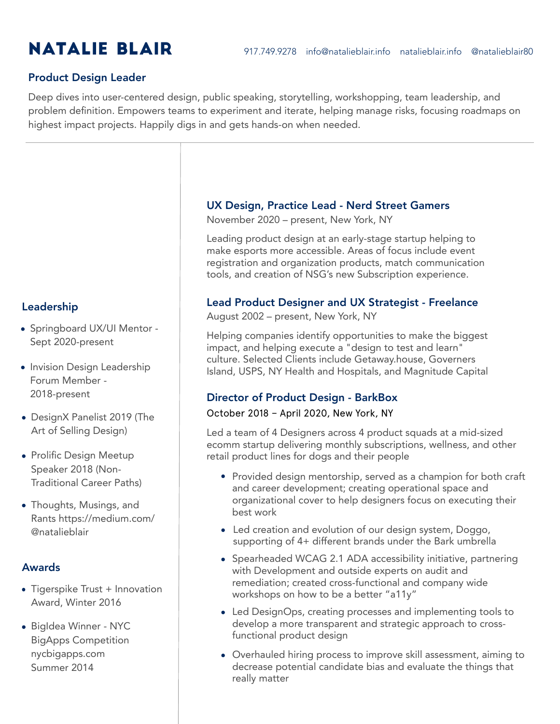## Product Design Leader

Deep dives into user-centered design, public speaking, storytelling, workshopping, team leadership, and problem definition. Empowers teams to experiment and iterate, helping manage risks, focusing roadmaps on highest impact projects. Happily digs in and gets hands-on when needed.

#### Leadership

- Springboard UX/UI Mentor -Sept 2020-present
- Invision Design Leadership Forum Member - 2018-present
- DesignX Panelist 2019 (The Art of Selling Design)
- Prolific Design Meetup Speaker 2018 (Non-Traditional Career Paths)
- Thoughts, Musings, and Rants https://medium.com/ @natalieblair

#### Awards

- Tigerspike Trust + Innovation Award, Winter 2016
- BigIdea Winner NYC BigApps Competition nycbigapps.com Summer 2014

#### UX Design, Practice Lead - Nerd Street Gamers

November 2020 – present, New York, NY

Leading product design at an early-stage startup helping to make esports more accessible. Areas of focus include event registration and organization products, match communication tools, and creation of NSG's new Subscription experience.

#### Lead Product Designer and UX Strategist - Freelance

August 2002 – present, New York, NY

Helping companies identify opportunities to make the biggest impact, and helping execute a "design to test and learn" culture. Selected Clients include Getaway.house, Governers Island, USPS, NY Health and Hospitals, and Magnitude Capital

## Director of Product Design - BarkBox

#### October 2018 – April 2020, New York, NY

Led a team of 4 Designers across 4 product squads at a mid-sized ecomm startup delivering monthly subscriptions, wellness, and other retail product lines for dogs and their people

- Provided design mentorship, served as a champion for both craft and career development; creating operational space and organizational cover to help designers focus on executing their best work
- Led creation and evolution of our design system, Doggo, supporting of 4+ different brands under the Bark umbrella
- Spearheaded WCAG 2.1 ADA accessibility initiative, partnering with Development and outside experts on audit and remediation; created cross-functional and company wide workshops on how to be a better "a11y"
- Led DesignOps, creating processes and implementing tools to develop a more transparent and strategic approach to crossfunctional product design
- Overhauled hiring process to improve skill assessment, aiming to decrease potential candidate bias and evaluate the things that really matter